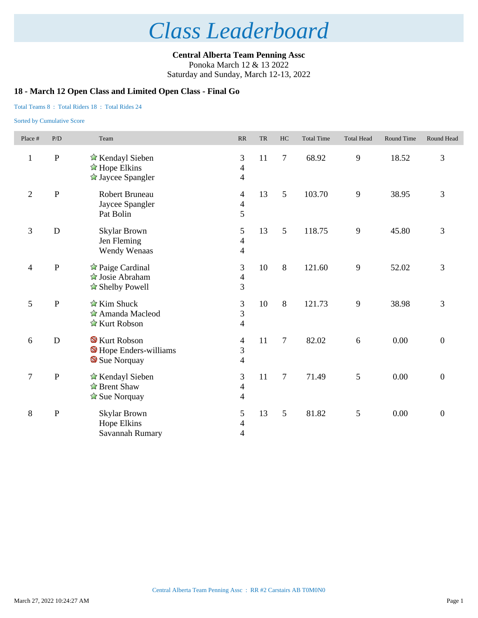**Central Alberta Team Penning Assc** Ponoka March 12 & 13 2022 Saturday and Sunday, March 12-13, 2022

## **18 - March 12 Open Class and Limited Open Class - Final Go**

### Total Teams 8 : Total Riders 18 : Total Rides 24

| Place #                  | P/D          | Team                                                                                     | RR                                                       | <b>TR</b> | HC             | <b>Total Time</b> | <b>Total Head</b> | Round Time | Round Head       |
|--------------------------|--------------|------------------------------------------------------------------------------------------|----------------------------------------------------------|-----------|----------------|-------------------|-------------------|------------|------------------|
| $\mathbf{1}$             | $\, {\bf P}$ | ☆ Kendayl Sieben<br>$\triangle$ Hope Elkins<br>$\hat{\mathbb{Z}}$ Jaycee Spangler        | 3<br>$\overline{4}$<br>$\overline{4}$                    | 11        | $\overline{7}$ | 68.92             | 9                 | 18.52      | 3                |
| $\sqrt{2}$               | $\mathbf{P}$ | Robert Bruneau<br>Jaycee Spangler<br>Pat Bolin                                           | $\overline{4}$<br>$\overline{\mathcal{L}}$<br>5          | 13        | 5              | 103.70            | 9                 | 38.95      | 3                |
| 3                        | ${\bf D}$    | <b>Skylar Brown</b><br>Jen Fleming<br>Wendy Wenaas                                       | 5<br>$\overline{4}$<br>$\overline{\mathcal{A}}$          | 13        | 5              | 118.75            | $\overline{9}$    | 45.80      | $\mathfrak{Z}$   |
| $\overline{\mathcal{A}}$ | $\, {\bf P}$ | $\triangle$ Paige Cardinal<br><b><i>A</i></b> Josie Abraham<br>$\triangle$ Shelby Powell | 3<br>$\overline{4}$<br>$\overline{3}$                    | 10        | 8              | 121.60            | 9                 | 52.02      | $\overline{3}$   |
| 5                        | ${\bf P}$    | $\hat{\mathbb{Z}}$ Kim Shuck<br>Amanda Macleod<br>☆ Kurt Robson                          | $\mathfrak{Z}$<br>$\overline{3}$<br>$\overline{4}$       | 10        | 8              | 121.73            | $\overline{9}$    | 38.98      | 3                |
| 6                        | ${\bf D}$    | <b>S</b> Kurt Robson<br>Hope Enders-williams<br>Sue Norquay                              | $\overline{\mathcal{A}}$<br>3<br>$\overline{4}$          | 11        | $\overline{7}$ | 82.02             | 6                 | 0.00       | $\boldsymbol{0}$ |
| $\boldsymbol{7}$         | $\, {\bf P}$ | ☆ Kendayl Sieben<br>$\hat{\mathbb{Z}}$ Brent Shaw<br>$\hat{\mathbb{Z}}$ Sue Norquay      | 3<br>$\overline{\mathbf{4}}$<br>$\overline{\mathcal{A}}$ | 11        | 7              | 71.49             | 5                 | 0.00       | $\overline{0}$   |
| $\,8\,$                  | $\, {\bf P}$ | Skylar Brown<br>Hope Elkins<br>Savannah Rumary                                           | 5<br>$\overline{4}$<br>4                                 | 13        | 5              | 81.82             | $\mathfrak{S}$    | 0.00       | $\boldsymbol{0}$ |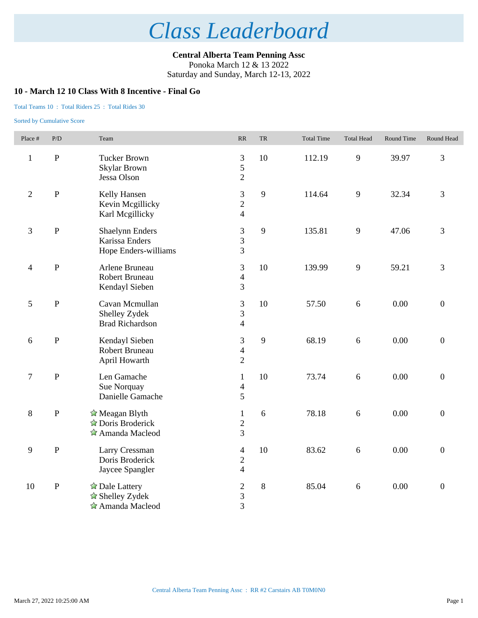**Central Alberta Team Penning Assc** Ponoka March 12 & 13 2022 Saturday and Sunday, March 12-13, 2022

### **10 - March 12 10 Class With 8 Incentive - Final Go**

#### Total Teams 10 : Total Riders 25 : Total Rides 30

| Place #          | $\rm P/D$    | Team                                                                             | $\ensuremath{\mathbf{R}}\ensuremath{\mathbf{R}}$ | ${\rm TR}$ | <b>Total Time</b> | <b>Total Head</b> | Round Time | Round Head       |
|------------------|--------------|----------------------------------------------------------------------------------|--------------------------------------------------|------------|-------------------|-------------------|------------|------------------|
| $\mathbf{1}$     | $\, {\bf P}$ | <b>Tucker Brown</b><br><b>Skylar Brown</b><br>Jessa Olson                        | 3<br>5<br>$\overline{2}$                         | 10         | 112.19            | 9                 | 39.97      | 3                |
| $\sqrt{2}$       | ${\bf P}$    | Kelly Hansen<br>Kevin Mcgillicky<br>Karl Megillicky                              | 3<br>$\overline{2}$<br>$\overline{4}$            | 9          | 114.64            | 9                 | 32.34      | 3                |
| 3                | ${\bf P}$    | <b>Shaelynn Enders</b><br>Karissa Enders<br>Hope Enders-williams                 | 3<br>3<br>$\overline{3}$                         | 9          | 135.81            | 9                 | 47.06      | 3                |
| $\overline{4}$   | ${\bf P}$    | Arlene Bruneau<br>Robert Bruneau<br>Kendayl Sieben                               | 3<br>$\overline{4}$<br>$\overline{3}$            | 10         | 139.99            | 9                 | 59.21      | 3                |
| 5                | $\, {\bf P}$ | Cavan Mcmullan<br>Shelley Zydek<br><b>Brad Richardson</b>                        | $\overline{3}$<br>3<br>$\overline{4}$            | 10         | 57.50             | 6                 | 0.00       | $\boldsymbol{0}$ |
| $\sqrt{6}$       | ${\bf P}$    | Kendayl Sieben<br>Robert Bruneau<br>April Howarth                                | 3<br>$\overline{4}$<br>$\overline{2}$            | 9          | 68.19             | 6                 | 0.00       | $\boldsymbol{0}$ |
| $\boldsymbol{7}$ | $\, {\bf P}$ | Len Gamache<br>Sue Norquay<br>Danielle Gamache                                   | $\mathbf{1}$<br>$\overline{4}$<br>5              | 10         | 73.74             | 6                 | 0.00       | $\boldsymbol{0}$ |
| 8                | $\, {\bf P}$ | $\hat{\mathbb{Z}}$ Meagan Blyth<br>$\triangle$ Doris Broderick<br>Amanda Macleod | $\mathbf{1}$<br>$\overline{2}$<br>$\overline{3}$ | 6          | 78.18             | 6                 | 0.00       | $\mathbf{0}$     |
| 9                | ${\bf P}$    | Larry Cressman<br>Doris Broderick<br>Jaycee Spangler                             | $\overline{4}$<br>$\sqrt{2}$<br>$\overline{4}$   | 10         | 83.62             | 6                 | 0.00       | $\overline{0}$   |
| 10               | ${\bf P}$    | ☆ Dale Lattery<br>☆ Shelley Zydek<br>Amanda Macleod                              | $\mathfrak{2}$<br>3<br>3                         | $\,8\,$    | 85.04             | $\sqrt{6}$        | 0.00       | $\boldsymbol{0}$ |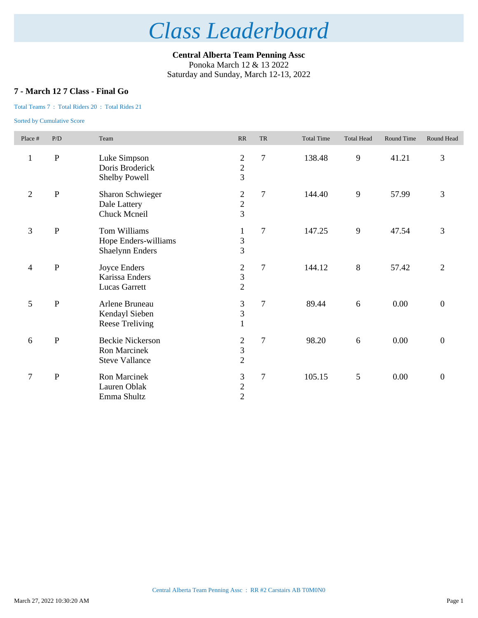**Central Alberta Team Penning Assc** Ponoka March 12 & 13 2022 Saturday and Sunday, March 12-13, 2022

## **7 - March 12 7 Class - Final Go**

## Total Teams 7 : Total Riders 20 : Total Rides 21

| Place #        | P/D         | Team                                                                    | RR                                                          | <b>TR</b>      | <b>Total Time</b> | <b>Total Head</b> | Round Time | Round Head       |
|----------------|-------------|-------------------------------------------------------------------------|-------------------------------------------------------------|----------------|-------------------|-------------------|------------|------------------|
| $\mathbf{1}$   | ${\bf P}$   | Luke Simpson<br>Doris Broderick<br>Shelby Powell                        | $\mathfrak{2}$<br>$\frac{2}{3}$                             | $\overline{7}$ | 138.48            | 9                 | 41.21      | 3                |
| $\overline{2}$ | ${\bf P}$   | Sharon Schwieger<br>Dale Lattery<br>Chuck Mcneil                        | $\boldsymbol{2}$<br>$\frac{2}{3}$                           | $\overline{7}$ | 144.40            | 9                 | 57.99      | 3                |
| 3              | ${\bf P}$   | Tom Williams<br>Hope Enders-williams<br><b>Shaelynn Enders</b>          | $\mathbf{1}$<br>$\frac{3}{3}$                               | $\overline{7}$ | 147.25            | 9                 | 47.54      | 3                |
| $\overline{4}$ | ${\bf P}$   | Joyce Enders<br>Karissa Enders<br><b>Lucas Garrett</b>                  | $\overline{c}$<br>$\overline{3}$<br>$\overline{2}$          | $\overline{7}$ | 144.12            | 8                 | 57.42      | $\mathfrak{2}$   |
| 5              | ${\bf P}$   | Arlene Bruneau<br>Kendayl Sieben<br><b>Reese Treliving</b>              | 3<br>$\overline{3}$<br>$\mathbf{1}$                         | $\overline{7}$ | 89.44             | 6                 | 0.00       | $\boldsymbol{0}$ |
| 6              | $\mathbf P$ | <b>Beckie Nickerson</b><br><b>Ron Marcinek</b><br><b>Steve Vallance</b> | $\overline{c}$<br>$\overline{\mathbf{3}}$<br>$\overline{2}$ | $\tau$         | 98.20             | 6                 | 0.00       | $\boldsymbol{0}$ |
| $\overline{7}$ | ${\bf P}$   | <b>Ron Marcinek</b><br>Lauren Oblak<br>Emma Shultz                      | 3<br>$\frac{2}{2}$                                          | $\tau$         | 105.15            | 5                 | 0.00       | $\overline{0}$   |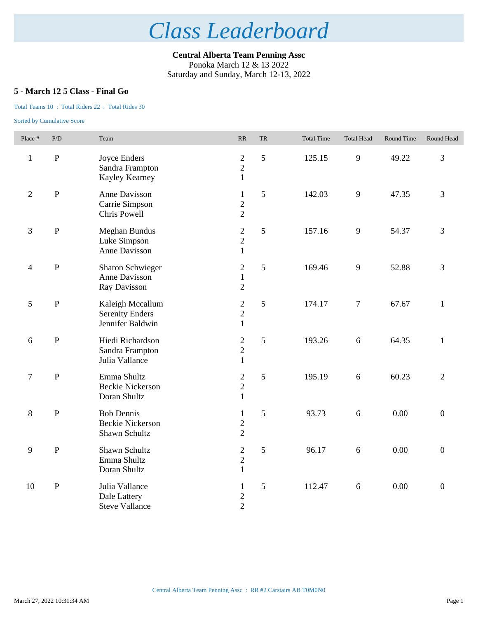**Central Alberta Team Penning Assc** Ponoka March 12 & 13 2022 Saturday and Sunday, March 12-13, 2022

## **5 - March 12 5 Class - Final Go**

### Total Teams 10 : Total Riders 22 : Total Rides 30

| Place #        | P/D          | Team                                                           | RR                                                 | <b>TR</b> | <b>Total Time</b> | <b>Total Head</b> | Round Time | Round Head       |
|----------------|--------------|----------------------------------------------------------------|----------------------------------------------------|-----------|-------------------|-------------------|------------|------------------|
| $\mathbf{1}$   | ${\bf P}$    | Joyce Enders<br>Sandra Frampton<br>Kayley Kearney              | $\mathbf{2}$<br>$\overline{c}$<br>$\mathbf{1}$     | 5         | 125.15            | 9                 | 49.22      | 3                |
| $\overline{2}$ | $\mathbf P$  | Anne Davisson<br>Carrie Simpson<br>Chris Powell                | $\mathbf{1}$<br>$\overline{c}$<br>$\overline{2}$   | 5         | 142.03            | 9                 | 47.35      | 3                |
| 3              | ${\bf P}$    | <b>Meghan Bundus</b><br>Luke Simpson<br>Anne Davisson          | $\mathbf{2}$<br>$\overline{c}$<br>$\mathbf{1}$     | 5         | 157.16            | 9                 | 54.37      | 3                |
| $\overline{4}$ | $\mathbf{P}$ | <b>Sharon Schwieger</b><br>Anne Davisson<br>Ray Davisson       | $\mathbf{2}$<br>$\mathbf{1}$<br>$\overline{2}$     | 5         | 169.46            | 9                 | 52.88      | 3                |
| $\mathfrak{S}$ | ${\bf P}$    | Kaleigh Mccallum<br><b>Serenity Enders</b><br>Jennifer Baldwin | $\sqrt{2}$<br>$\overline{2}$<br>$\mathbf{1}$       | 5         | 174.17            | $\boldsymbol{7}$  | 67.67      | $\mathbf{1}$     |
| 6              | ${\bf P}$    | Hiedi Richardson<br>Sandra Frampton<br>Julia Vallance          | $\boldsymbol{2}$<br>$\overline{2}$<br>$\mathbf{1}$ | 5         | 193.26            | 6                 | 64.35      | $\mathbf{1}$     |
| $\tau$         | $\mathbf P$  | Emma Shultz<br><b>Beckie Nickerson</b><br>Doran Shultz         | $\mathbf{2}$<br>$\sqrt{2}$<br>$\mathbf{1}$         | 5         | 195.19            | 6                 | 60.23      | $\overline{2}$   |
| 8              | $\mathbf{P}$ | <b>Bob Dennis</b><br><b>Beckie Nickerson</b><br>Shawn Schultz  | $\mathbf{1}$<br>$\overline{c}$<br>$\overline{2}$   | 5         | 93.73             | 6                 | 0.00       | $\boldsymbol{0}$ |
| 9              | $\mathbf P$  | Shawn Schultz<br>Emma Shultz<br>Doran Shultz                   | $\overline{c}$<br>$\sqrt{2}$<br>$\mathbf{1}$       | 5         | 96.17             | 6                 | 0.00       | $\boldsymbol{0}$ |
| 10             | ${\bf P}$    | Julia Vallance<br>Dale Lattery<br><b>Steve Vallance</b>        | $\mathbf{1}$<br>$\overline{c}$<br>$\overline{2}$   | 5         | 112.47            | $6\,$             | 0.00       | $\boldsymbol{0}$ |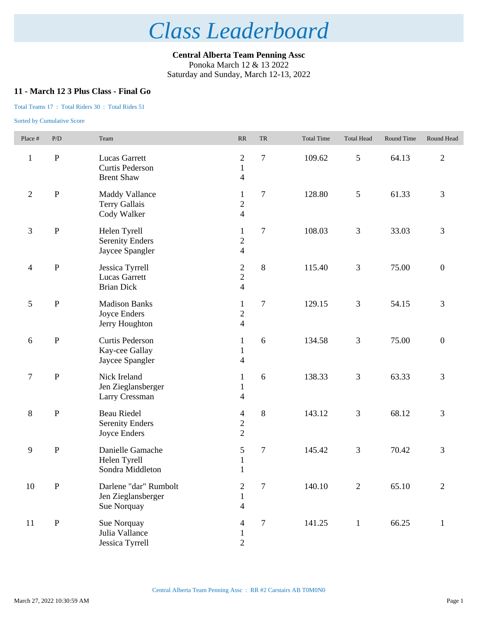**Central Alberta Team Penning Assc** Ponoka March 12 & 13 2022 Saturday and Sunday, March 12-13, 2022

## **11 - March 12 3 Plus Class - Final Go**

### Total Teams 17 : Total Riders 30 : Total Rides 51

| Place #                  | P/D          | Team                                                         | $\ensuremath{\mathsf{RR}}\xspace$                          | TR             | <b>Total Time</b> | <b>Total Head</b> | Round Time | Round Head       |
|--------------------------|--------------|--------------------------------------------------------------|------------------------------------------------------------|----------------|-------------------|-------------------|------------|------------------|
| $\mathbf{1}$             | ${\bf P}$    | Lucas Garrett<br>Curtis Pederson<br><b>Brent Shaw</b>        | $\mathfrak{2}$<br>$\mathbf{1}$<br>$\overline{\mathcal{A}}$ | $\tau$         | 109.62            | $\mathfrak{S}$    | 64.13      | $\overline{c}$   |
| $\overline{2}$           | ${\bf P}$    | <b>Maddy Vallance</b><br><b>Terry Gallais</b><br>Cody Walker | $\mathbf{1}$<br>$\overline{c}$<br>$\overline{4}$           | $\overline{7}$ | 128.80            | $\mathfrak{S}$    | 61.33      | 3                |
| $\mathfrak{Z}$           | ${\bf P}$    | Helen Tyrell<br><b>Serenity Enders</b><br>Jaycee Spangler    | $\mathbf{1}$<br>$\overline{c}$<br>$\overline{4}$           | $\tau$         | 108.03            | $\mathfrak{Z}$    | 33.03      | $\mathfrak{Z}$   |
| $\overline{\mathcal{A}}$ | ${\bf P}$    | Jessica Tyrrell<br><b>Lucas Garrett</b><br><b>Brian Dick</b> | $\boldsymbol{2}$<br>$\overline{c}$<br>$\overline{4}$       | $\,8\,$        | 115.40            | $\mathfrak{Z}$    | 75.00      | $\boldsymbol{0}$ |
| 5                        | $\mathbf{P}$ | <b>Madison Banks</b><br>Joyce Enders<br>Jerry Houghton       | $\mathbf{1}$<br>$\sqrt{2}$<br>$\overline{\mathbf{4}}$      | $\tau$         | 129.15            | $\mathfrak{Z}$    | 54.15      | $\mathfrak{Z}$   |
| 6                        | $\, {\bf P}$ | Curtis Pederson<br>Kay-cee Gallay<br>Jaycee Spangler         | $\mathbf{1}$<br>$\mathbf{1}$<br>$\overline{\mathcal{A}}$   | 6              | 134.58            | 3                 | 75.00      | $\boldsymbol{0}$ |
| $\tau$                   | $\mathbf{P}$ | Nick Ireland<br>Jen Zieglansberger<br>Larry Cressman         | $\mathbf{1}$<br>$\mathbf{1}$<br>4                          | 6              | 138.33            | $\mathfrak{Z}$    | 63.33      | 3                |
| $\,8\,$                  | ${\bf P}$    | <b>Beau Riedel</b><br><b>Serenity Enders</b><br>Joyce Enders | $\overline{4}$<br>$\overline{c}$<br>$\overline{2}$         | $\,8\,$        | 143.12            | 3                 | 68.12      | $\mathfrak{Z}$   |
| $\mathbf{9}$             | ${\bf P}$    | Danielle Gamache<br>Helen Tyrell<br>Sondra Middleton         | 5<br>$\mathbf{1}$<br>$\mathbf{1}$                          | $\tau$         | 145.42            | $\mathfrak{Z}$    | 70.42      | 3                |
| $10\,$                   | $\, {\bf P}$ | Darlene "dar" Rumbolt<br>Jen Zieglansberger<br>Sue Norquay   | $\overline{c}$<br>$\mathbf{1}$<br>$\overline{\mathcal{A}}$ | 7              | 140.10            | $\mathfrak{2}$    | 65.10      | $\overline{2}$   |
| 11                       | $\, {\bf P}$ | Sue Norquay<br>Julia Vallance<br>Jessica Tyrrell             | 4<br>$\mathbf{1}$<br>$\mathbf{2}$                          | 7              | 141.25            | $\mathbf{1}$      | 66.25      | $\mathbf{1}$     |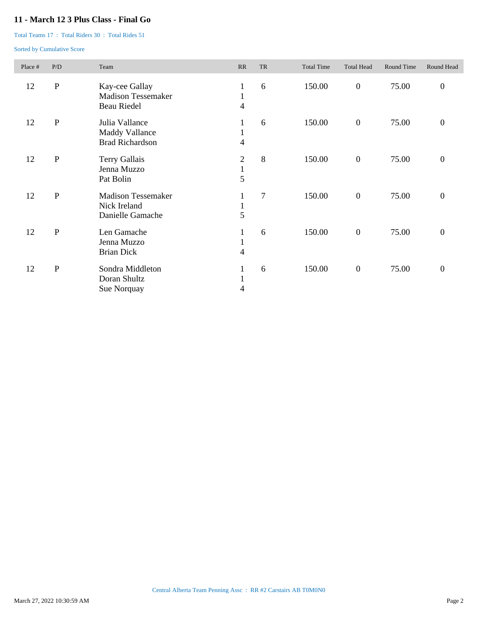## **11 - March 12 3 Plus Class - Final Go**

Total Teams 17 : Total Riders 30 : Total Rides 51

| Place # | P/D          | Team                                                              | RR                                             | <b>TR</b>      | <b>Total Time</b> | <b>Total Head</b> | Round Time | Round Head       |
|---------|--------------|-------------------------------------------------------------------|------------------------------------------------|----------------|-------------------|-------------------|------------|------------------|
| 12      | ${\bf P}$    | Kay-cee Gallay<br><b>Madison Tessemaker</b><br><b>Beau Riedel</b> | $\mathbf{1}$<br>$\mathbf{1}$<br>$\overline{4}$ | 6              | 150.00            | $\boldsymbol{0}$  | 75.00      | $\boldsymbol{0}$ |
| 12      | $\mathbf P$  | Julia Vallance<br><b>Maddy Vallance</b><br><b>Brad Richardson</b> | $\mathbf{1}$<br>$\mathbf{I}$<br>4              | 6              | 150.00            | $\boldsymbol{0}$  | 75.00      | $\boldsymbol{0}$ |
| 12      | ${\bf P}$    | Terry Gallais<br>Jenna Muzzo<br>Pat Bolin                         | $\mathfrak{2}$<br>$\mathbf{1}$<br>5            | 8              | 150.00            | $\boldsymbol{0}$  | 75.00      | $\boldsymbol{0}$ |
| 12      | $\, {\bf P}$ | <b>Madison Tessemaker</b><br>Nick Ireland<br>Danielle Gamache     | $\mathbf{I}$<br>5                              | $\overline{7}$ | 150.00            | $\boldsymbol{0}$  | 75.00      | $\boldsymbol{0}$ |
| 12      | ${\bf P}$    | Len Gamache<br>Jenna Muzzo<br><b>Brian Dick</b>                   | $\mathbf{I}$<br>$\mathbf{1}$<br>4              | 6              | 150.00            | $\boldsymbol{0}$  | 75.00      | $\boldsymbol{0}$ |
| 12      | ${\bf P}$    | Sondra Middleton<br>Doran Shultz<br>Sue Norquay                   | $\bf{l}$<br>$\mathbf{I}$<br>4                  | 6              | 150.00            | $\boldsymbol{0}$  | 75.00      | $\boldsymbol{0}$ |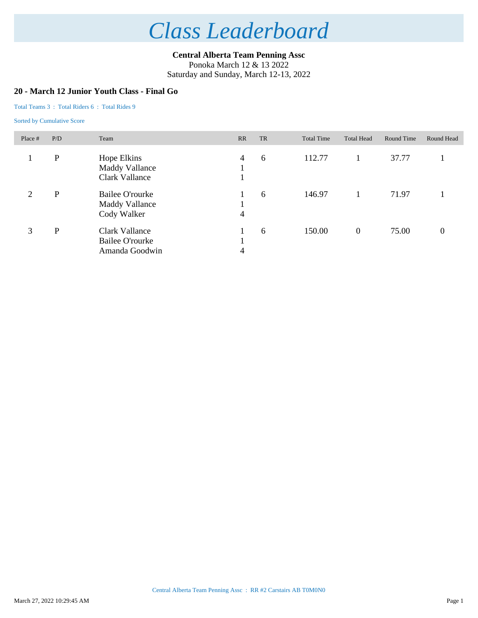**Central Alberta Team Penning Assc** Ponoka March 12 & 13 2022 Saturday and Sunday, March 12-13, 2022

### **20 - March 12 Junior Youth Class - Final Go**

#### Total Teams 3 : Total Riders 6 : Total Rides 9

| Place #        | P/D         | Team                                                       | RR | TR | <b>Total Time</b> | <b>Total Head</b> | Round Time | Round Head |
|----------------|-------------|------------------------------------------------------------|----|----|-------------------|-------------------|------------|------------|
|                | $\mathbf P$ | Hope Elkins<br><b>Maddy Vallance</b><br>Clark Vallance     | 4  | 6  | 112.77            |                   | 37.77      |            |
| $\overline{2}$ | P           | Bailee O'rourke<br><b>Maddy Vallance</b><br>Cody Walker    | 4  | 6  | 146.97            |                   | 71.97      |            |
| 3              | P           | Clark Vallance<br><b>Bailee O'rourke</b><br>Amanda Goodwin | 4  | 6  | 150.00            | $\boldsymbol{0}$  | 75.00      | 0          |